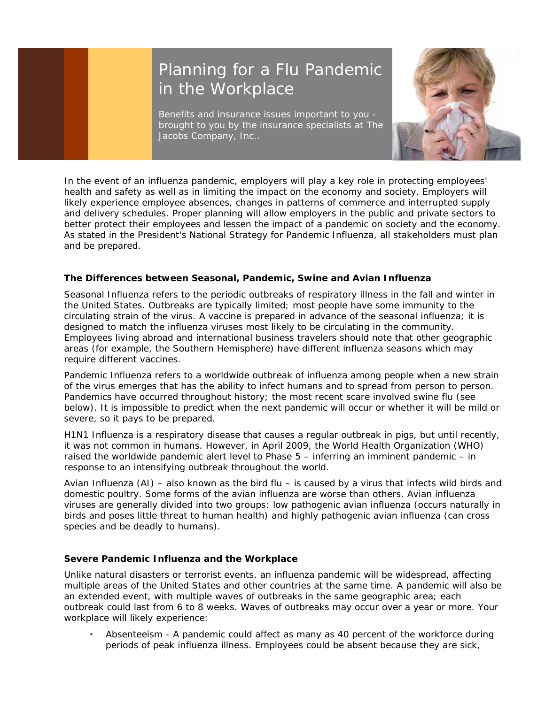# Planning for a Flu Pandemic in the Workplace

Benefits and insurance issues important to you brought to you by the insurance specialists at The Jacobs Company, Inc..



In the event of an influenza pandemic, employers will play a key role in protecting employees' health and safety as well as in limiting the impact on the economy and society. Employers will likely experience employee absences, changes in patterns of commerce and interrupted supply and delivery schedules. Proper planning will allow employers in the public and private sectors to better protect their employees and lessen the impact of a pandemic on society and the economy. As stated in the President's National Strategy for Pandemic Influenza, all stakeholders must plan and be prepared.

#### **The Differences between Seasonal, Pandemic, Swine and Avian Influenza**

*Seasonal Influenza* refers to the periodic outbreaks of respiratory illness in the fall and winter in the United States. Outbreaks are typically limited; most people have some immunity to the circulating strain of the virus. A vaccine is prepared in advance of the seasonal influenza; it is designed to match the influenza viruses most likely to be circulating in the community. Employees living abroad and international business travelers should note that other geographic areas (for example, the Southern Hemisphere) have different influenza seasons which may require different vaccines.

*Pandemic Influenza* refers to a worldwide outbreak of influenza among people when a new strain of the virus emerges that has the ability to infect humans and to spread from person to person. Pandemics have occurred throughout history; the most recent scare involved swine flu (see below). It is impossible to predict when the next pandemic will occur or whether it will be mild or severe, so it pays to be prepared.

*H1N1 Influenza* is a respiratory disease that causes a regular outbreak in pigs, but until recently, it was not common in humans. However, in April 2009, the World Health Organization (WHO) raised the worldwide pandemic alert level to Phase 5 – inferring an imminent pandemic – in response to an intensifying outbreak throughout the world.

*Avian Influenza (AI)* – also known as the bird flu – is caused by a virus that infects wild birds and domestic poultry. Some forms of the avian influenza are worse than others. Avian influenza viruses are generally divided into two groups: low pathogenic avian influenza (occurs naturally in birds and poses little threat to human health) and highly pathogenic avian influenza (can cross species and be deadly to humans).

#### **Severe Pandemic Influenza and the Workplace**

Unlike natural disasters or terrorist events, an influenza pandemic will be widespread, affecting multiple areas of the United States and other countries at the same time. A pandemic will also be an extended event, with multiple waves of outbreaks in the same geographic area; each outbreak could last from 6 to 8 weeks. Waves of outbreaks may occur over a year or more. Your workplace will likely experience:

• Absenteeism - A pandemic could affect as many as 40 percent of the workforce during periods of peak influenza illness. Employees could be absent because they are sick,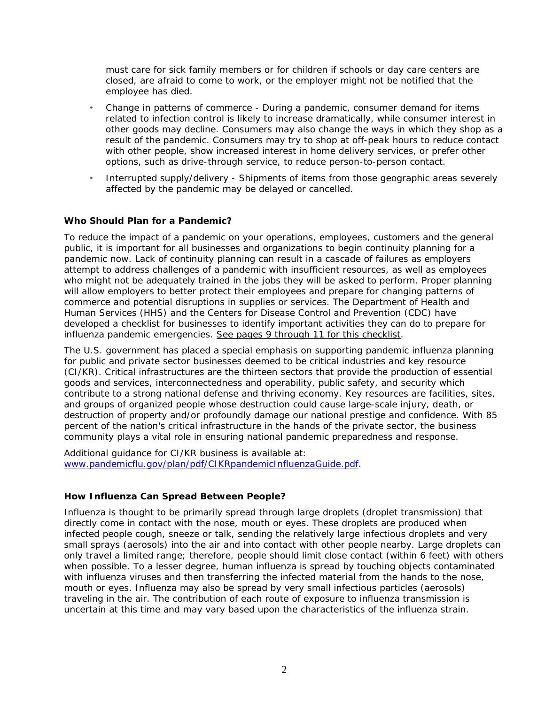must care for sick family members or for children if schools or day care centers are closed, are afraid to come to work, or the employer might not be notified that the employee has died.

- Change in patterns of commerce During a pandemic, consumer demand for items related to infection control is likely to increase dramatically, while consumer interest in other goods may decline. Consumers may also change the ways in which they shop as a result of the pandemic. Consumers may try to shop at off-peak hours to reduce contact with other people, show increased interest in home delivery services, or prefer other options, such as drive-through service, to reduce person-to-person contact.
- Interrupted supply/delivery Shipments of items from those geographic areas severely affected by the pandemic may be delayed or cancelled.

#### **Who Should Plan for a Pandemic?**

To reduce the impact of a pandemic on your operations, employees, customers and the general public, it is important for all businesses and organizations to begin continuity planning for a pandemic now. Lack of continuity planning can result in a cascade of failures as employers attempt to address challenges of a pandemic with insufficient resources, as well as employees who might not be adequately trained in the jobs they will be asked to perform. Proper planning will allow employers to better protect their employees and prepare for changing patterns of commerce and potential disruptions in supplies or services. The Department of Health and Human Services (HHS) and the Centers for Disease Control and Prevention (CDC) have developed a checklist for businesses to identify important activities they can do to prepare for influenza pandemic emergencies. See pages 9 through 11 for this checklist.

The U.S. government has placed a special emphasis on supporting pandemic influenza planning for public and private sector businesses deemed to be critical industries and key resource (CI/KR). Critical infrastructures are the thirteen sectors that provide the production of essential goods and services, interconnectedness and operability, public safety, and security which contribute to a strong national defense and thriving economy. Key resources are facilities, sites, and groups of organized people whose destruction could cause large-scale injury, death, or destruction of property and/or profoundly damage our national prestige and confidence. With 85 percent of the nation's critical infrastructure in the hands of the private sector, the business community plays a vital role in ensuring national pandemic preparedness and response.

Additional guidance for CI/KR business is available at: [www.pandemicflu.gov/plan/pdf/CIKRpandemicInfluenzaGuide.pdf.](http://www.pandemicflu.gov/plan/pdf/CIKRpandemicInfluenzaGuide.pdf)

#### **How Influenza Can Spread Between People?**

Influenza is thought to be primarily spread through large droplets (droplet transmission) that directly come in contact with the nose, mouth or eyes. These droplets are produced when infected people cough, sneeze or talk, sending the relatively large infectious droplets and very small sprays (aerosols) into the air and into contact with other people nearby. Large droplets can only travel a limited range; therefore, people should limit close contact (within 6 feet) with others when possible. To a lesser degree, human influenza is spread by touching objects contaminated with influenza viruses and then transferring the infected material from the hands to the nose, mouth or eyes. Influenza may also be spread by very small infectious particles (aerosols) traveling in the air. The contribution of each route of exposure to influenza transmission is uncertain at this time and may vary based upon the characteristics of the influenza strain.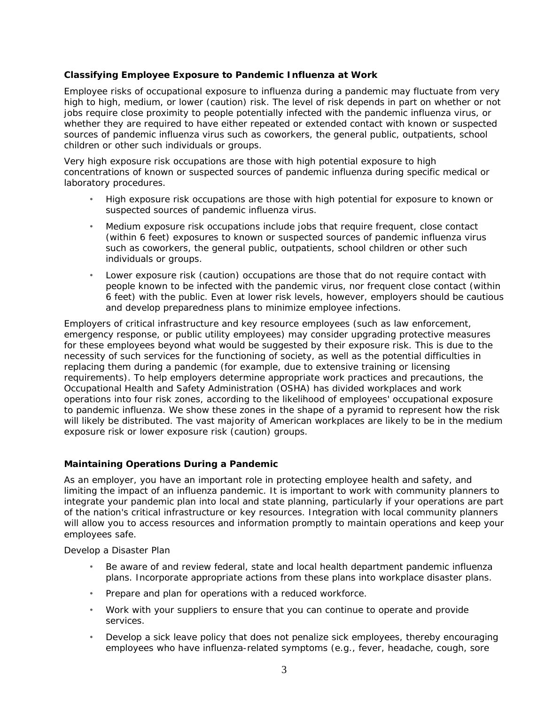#### **Classifying Employee Exposure to Pandemic Influenza at Work**

Employee risks of occupational exposure to influenza during a pandemic may fluctuate from very high to high, medium, or lower (caution) risk. The level of risk depends in part on whether or not jobs require close proximity to people potentially infected with the pandemic influenza virus, or whether they are required to have either repeated or extended contact with known or suspected sources of pandemic influenza virus such as coworkers, the general public, outpatients, school children or other such individuals or groups.

Very high exposure risk occupations are those with high potential exposure to high concentrations of known or suspected sources of pandemic influenza during specific medical or laboratory procedures.

- High exposure risk occupations are those with high potential for exposure to known or suspected sources of pandemic influenza virus.
- Medium exposure risk occupations include jobs that require frequent, close contact (within 6 feet) exposures to known or suspected sources of pandemic influenza virus such as coworkers, the general public, outpatients, school children or other such individuals or groups.
- Lower exposure risk (caution) occupations are those that do not require contact with people known to be infected with the pandemic virus, nor frequent close contact (within 6 feet) with the public. Even at lower risk levels, however, employers should be cautious and develop preparedness plans to minimize employee infections.

Employers of critical infrastructure and key resource employees (such as law enforcement, emergency response, or public utility employees) may consider upgrading protective measures for these employees beyond what would be suggested by their exposure risk. This is due to the necessity of such services for the functioning of society, as well as the potential difficulties in replacing them during a pandemic (for example, due to extensive training or licensing requirements). To help employers determine appropriate work practices and precautions, the Occupational Health and Safety Administration (OSHA) has divided workplaces and work operations into four risk zones, according to the likelihood of employees' occupational exposure to pandemic influenza. We show these zones in the shape of a pyramid to represent how the risk will likely be distributed. The vast majority of American workplaces are likely to be in the medium exposure risk or lower exposure risk (caution) groups.

#### **Maintaining Operations During a Pandemic**

As an employer, you have an important role in protecting employee health and safety, and limiting the impact of an influenza pandemic. It is important to work with community planners to integrate your pandemic plan into local and state planning, particularly if your operations are part of the nation's critical infrastructure or key resources. Integration with local community planners will allow you to access resources and information promptly to maintain operations and keep your employees safe.

#### *Develop a Disaster Plan*

- Be aware of and review federal, state and local health department pandemic influenza plans. Incorporate appropriate actions from these plans into workplace disaster plans.
- Prepare and plan for operations with a reduced workforce.
- Work with your suppliers to ensure that you can continue to operate and provide services.
- Develop a sick leave policy that does not penalize sick employees, thereby encouraging employees who have influenza-related symptoms (e.g., fever, headache, cough, sore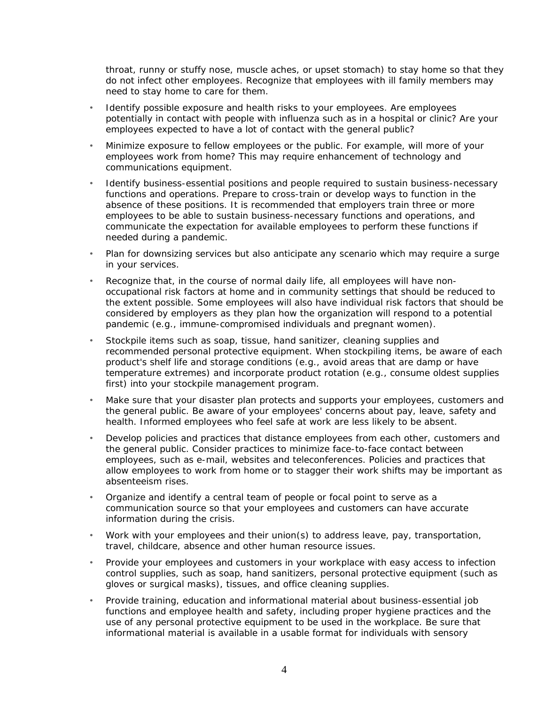throat, runny or stuffy nose, muscle aches, or upset stomach) to stay home so that they do not infect other employees. Recognize that employees with ill family members may need to stay home to care for them.

- Identify possible exposure and health risks to your employees. Are employees potentially in contact with people with influenza such as in a hospital or clinic? Are your employees expected to have a lot of contact with the general public?
- Minimize exposure to fellow employees or the public. For example, will more of your employees work from home? This may require enhancement of technology and communications equipment.
- Identify business-essential positions and people required to sustain business-necessary functions and operations. Prepare to cross-train or develop ways to function in the absence of these positions. It is recommended that employers train three or more employees to be able to sustain business-necessary functions and operations, and communicate the expectation for available employees to perform these functions if needed during a pandemic.
- Plan for downsizing services but also anticipate any scenario which may require a surge in your services.
- Recognize that, in the course of normal daily life, all employees will have nonoccupational risk factors at home and in community settings that should be reduced to the extent possible. Some employees will also have individual risk factors that should be considered by employers as they plan how the organization will respond to a potential pandemic (e.g., immune-compromised individuals and pregnant women).
- Stockpile items such as soap, tissue, hand sanitizer, cleaning supplies and recommended personal protective equipment. When stockpiling items, be aware of each product's shelf life and storage conditions (e.g., avoid areas that are damp or have temperature extremes) and incorporate product rotation (e.g., consume oldest supplies first) into your stockpile management program.
- Make sure that your disaster plan protects and supports your employees, customers and the general public. Be aware of your employees' concerns about pay, leave, safety and health. Informed employees who feel safe at work are less likely to be absent.
- Develop policies and practices that distance employees from each other, customers and the general public. Consider practices to minimize face-to-face contact between employees, such as e-mail, websites and teleconferences. Policies and practices that allow employees to work from home or to stagger their work shifts may be important as absenteeism rises.
- Organize and identify a central team of people or focal point to serve as a communication source so that your employees and customers can have accurate information during the crisis.
- Work with your employees and their union(s) to address leave, pay, transportation, travel, childcare, absence and other human resource issues.
- Provide your employees and customers in your workplace with easy access to infection control supplies, such as soap, hand sanitizers, personal protective equipment (such as gloves or surgical masks), tissues, and office cleaning supplies.
- Provide training, education and informational material about business-essential job functions and employee health and safety, including proper hygiene practices and the use of any personal protective equipment to be used in the workplace. Be sure that informational material is available in a usable format for individuals with sensory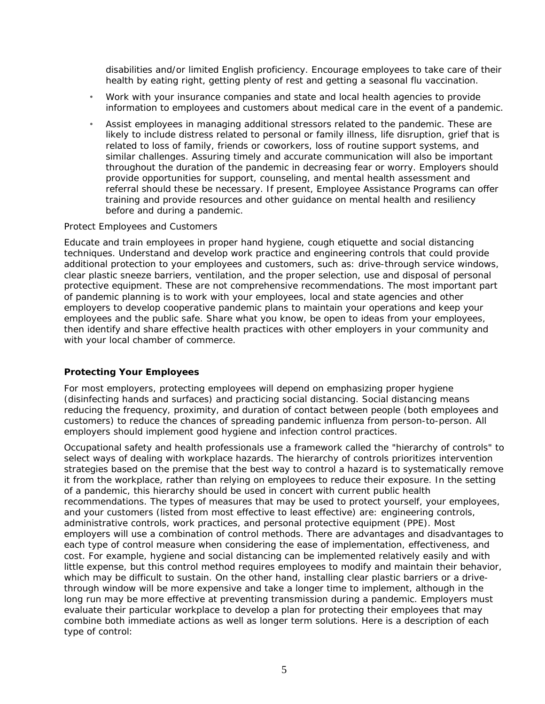disabilities and/or limited English proficiency. Encourage employees to take care of their health by eating right, getting plenty of rest and getting a seasonal flu vaccination.

- Work with your insurance companies and state and local health agencies to provide information to employees and customers about medical care in the event of a pandemic.
- Assist employees in managing additional stressors related to the pandemic. These are likely to include distress related to personal or family illness, life disruption, grief that is related to loss of family, friends or coworkers, loss of routine support systems, and similar challenges. Assuring timely and accurate communication will also be important throughout the duration of the pandemic in decreasing fear or worry. Employers should provide opportunities for support, counseling, and mental health assessment and referral should these be necessary. If present, Employee Assistance Programs can offer training and provide resources and other guidance on mental health and resiliency before and during a pandemic.

#### *Protect Employees and Customers*

Educate and train employees in proper hand hygiene, cough etiquette and social distancing techniques. Understand and develop work practice and engineering controls that could provide additional protection to your employees and customers, such as: drive-through service windows, clear plastic sneeze barriers, ventilation, and the proper selection, use and disposal of personal protective equipment. These are not comprehensive recommendations. The most important part of pandemic planning is to work with your employees, local and state agencies and other employers to develop cooperative pandemic plans to maintain your operations and keep your employees and the public safe. Share what you know, be open to ideas from your employees, then identify and share effective health practices with other employers in your community and with your local chamber of commerce.

#### **Protecting Your Employees**

For most employers, protecting employees will depend on emphasizing proper hygiene (disinfecting hands and surfaces) and practicing social distancing. Social distancing means reducing the frequency, proximity, and duration of contact between people (both employees and customers) to reduce the chances of spreading pandemic influenza from person-to-person. All employers should implement good hygiene and infection control practices.

Occupational safety and health professionals use a framework called the "hierarchy of controls" to select ways of dealing with workplace hazards. The hierarchy of controls prioritizes intervention strategies based on the premise that the best way to control a hazard is to systematically remove it from the workplace, rather than relying on employees to reduce their exposure. In the setting of a pandemic, this hierarchy should be used in concert with current public health recommendations. The types of measures that may be used to protect yourself, your employees, and your customers (listed from most effective to least effective) are: engineering controls, administrative controls, work practices, and personal protective equipment (PPE). Most employers will use a combination of control methods. There are advantages and disadvantages to each type of control measure when considering the ease of implementation, effectiveness, and cost. For example, hygiene and social distancing can be implemented relatively easily and with little expense, but this control method requires employees to modify and maintain their behavior, which may be difficult to sustain. On the other hand, installing clear plastic barriers or a drivethrough window will be more expensive and take a longer time to implement, although in the long run may be more effective at preventing transmission during a pandemic. Employers must evaluate their particular workplace to develop a plan for protecting their employees that may combine both immediate actions as well as longer term solutions. Here is a description of each type of control: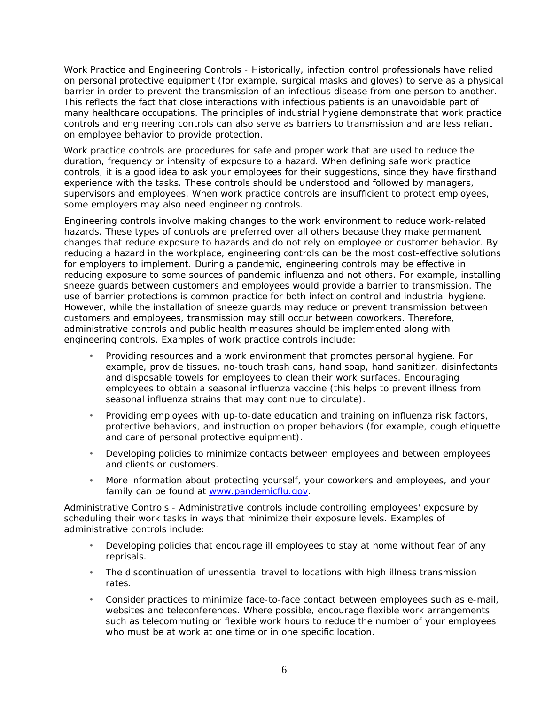*Work Practice and Engineering Controls -* Historically, infection control professionals have relied on personal protective equipment (for example, surgical masks and gloves) to serve as a physical barrier in order to prevent the transmission of an infectious disease from one person to another. This reflects the fact that close interactions with infectious patients is an unavoidable part of many healthcare occupations. The principles of industrial hygiene demonstrate that work practice controls and engineering controls can also serve as barriers to transmission and are less reliant on employee behavior to provide protection.

Work practice controls are procedures for safe and proper work that are used to reduce the duration, frequency or intensity of exposure to a hazard. When defining safe work practice controls, it is a good idea to ask your employees for their suggestions, since they have firsthand experience with the tasks. These controls should be understood and followed by managers, supervisors and employees. When work practice controls are insufficient to protect employees, some employers may also need engineering controls.

Engineering controls involve making changes to the work environment to reduce work-related hazards. These types of controls are preferred over all others because they make permanent changes that reduce exposure to hazards and do not rely on employee or customer behavior. By reducing a hazard in the workplace, engineering controls can be the most cost-effective solutions for employers to implement. During a pandemic, engineering controls may be effective in reducing exposure to some sources of pandemic influenza and not others. For example, installing sneeze guards between customers and employees would provide a barrier to transmission. The use of barrier protections is common practice for both infection control and industrial hygiene. However, while the installation of sneeze guards may reduce or prevent transmission between customers and employees, transmission may still occur between coworkers. Therefore, administrative controls and public health measures should be implemented along with engineering controls. Examples of work practice controls include:

- Providing resources and a work environment that promotes personal hygiene. For example, provide tissues, no-touch trash cans, hand soap, hand sanitizer, disinfectants and disposable towels for employees to clean their work surfaces. Encouraging employees to obtain a seasonal influenza vaccine (this helps to prevent illness from seasonal influenza strains that may continue to circulate).
- Providing employees with up-to-date education and training on influenza risk factors, protective behaviors, and instruction on proper behaviors (for example, cough etiquette and care of personal protective equipment).
- Developing policies to minimize contacts between employees and between employees and clients or customers.
- More information about protecting yourself, your coworkers and employees, and your family can be found at [www.pandemicflu.gov.](http://www.pandemicflu.gov/)

*Administrative Controls* - Administrative controls include controlling employees' exposure by scheduling their work tasks in ways that minimize their exposure levels. Examples of administrative controls include:

- Developing policies that encourage ill employees to stay at home without fear of any reprisals.
- The discontinuation of unessential travel to locations with high illness transmission rates.
- Consider practices to minimize face-to-face contact between employees such as e-mail, websites and teleconferences. Where possible, encourage flexible work arrangements such as telecommuting or flexible work hours to reduce the number of your employees who must be at work at one time or in one specific location.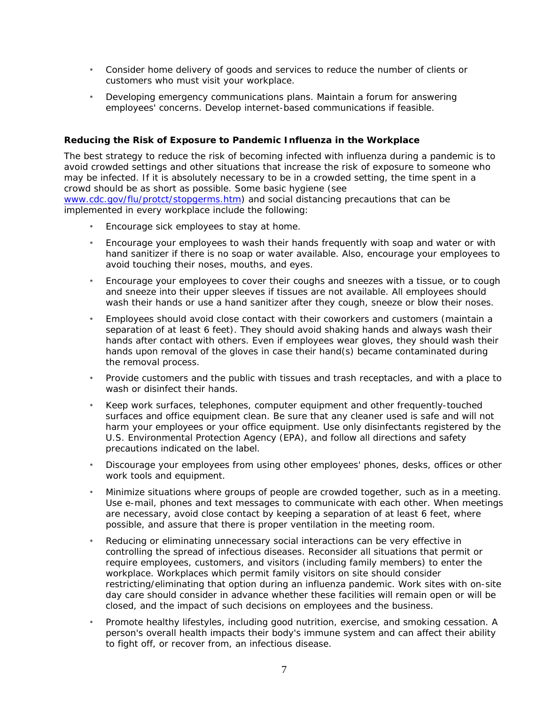- Consider home delivery of goods and services to reduce the number of clients or customers who must visit your workplace.
- Developing emergency communications plans. Maintain a forum for answering employees' concerns. Develop internet-based communications if feasible.

#### **Reducing the Risk of Exposure to Pandemic Influenza in the Workplace**

The best strategy to reduce the risk of becoming infected with influenza during a pandemic is to avoid crowded settings and other situations that increase the risk of exposure to someone who may be infected. If it is absolutely necessary to be in a crowded setting, the time spent in a crowd should be as short as possible. Some basic hygiene (see [www.cdc.gov/flu/protct/stopgerms.htm\)](http://www.cdc.gov/flu/protct/stopgerms.htm) and social distancing precautions that can be implemented in every workplace include the following:

- Encourage sick employees to stay at home.
- Encourage your employees to wash their hands frequently with soap and water or with hand sanitizer if there is no soap or water available. Also, encourage your employees to avoid touching their noses, mouths, and eyes.
- Encourage your employees to cover their coughs and sneezes with a tissue, or to cough and sneeze into their upper sleeves if tissues are not available. All employees should wash their hands or use a hand sanitizer after they cough, sneeze or blow their noses.
- Employees should avoid close contact with their coworkers and customers (maintain a separation of at least 6 feet). They should avoid shaking hands and always wash their hands after contact with others. Even if employees wear gloves, they should wash their hands upon removal of the gloves in case their hand(s) became contaminated during the removal process.
- Provide customers and the public with tissues and trash receptacles, and with a place to wash or disinfect their hands.
- Keep work surfaces, telephones, computer equipment and other frequently-touched surfaces and office equipment clean. Be sure that any cleaner used is safe and will not harm your employees or your office equipment. Use only disinfectants registered by the U.S. Environmental Protection Agency (EPA), and follow all directions and safety precautions indicated on the label.
- Discourage your employees from using other employees' phones, desks, offices or other work tools and equipment.
- Minimize situations where groups of people are crowded together, such as in a meeting. Use e-mail, phones and text messages to communicate with each other. When meetings are necessary, avoid close contact by keeping a separation of at least 6 feet, where possible, and assure that there is proper ventilation in the meeting room.
- Reducing or eliminating unnecessary social interactions can be very effective in controlling the spread of infectious diseases. Reconsider all situations that permit or require employees, customers, and visitors (including family members) to enter the workplace. Workplaces which permit family visitors on site should consider restricting/eliminating that option during an influenza pandemic. Work sites with on-site day care should consider in advance whether these facilities will remain open or will be closed, and the impact of such decisions on employees and the business.
- Promote healthy lifestyles, including good nutrition, exercise, and smoking cessation. A person's overall health impacts their body's immune system and can affect their ability to fight off, or recover from, an infectious disease.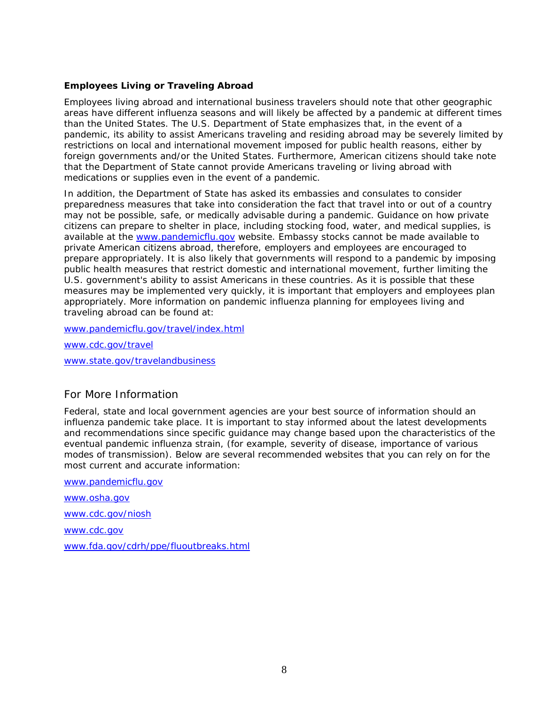#### **Employees Living or Traveling Abroad**

Employees living abroad and international business travelers should note that other geographic areas have different influenza seasons and will likely be affected by a pandemic at different times than the United States. The U.S. Department of State emphasizes that, in the event of a pandemic, its ability to assist Americans traveling and residing abroad may be severely limited by restrictions on local and international movement imposed for public health reasons, either by foreign governments and/or the United States. Furthermore, American citizens should take note that the Department of State cannot provide Americans traveling or living abroad with medications or supplies even in the event of a pandemic.

In addition, the Department of State has asked its embassies and consulates to consider preparedness measures that take into consideration the fact that travel into or out of a country may not be possible, safe, or medically advisable during a pandemic. Guidance on how private citizens can prepare to shelter in place, including stocking food, water, and medical supplies, is available at the [www.pandemicflu.gov](http://www.pandemicflu.gov/) website. Embassy stocks cannot be made available to private American citizens abroad, therefore, employers and employees are encouraged to prepare appropriately. It is also likely that governments will respond to a pandemic by imposing public health measures that restrict domestic and international movement, further limiting the U.S. government's ability to assist Americans in these countries. As it is possible that these measures may be implemented very quickly, it is important that employers and employees plan appropriately. More information on pandemic influenza planning for employees living and traveling abroad can be found at:

[www.pandemicflu.gov/travel/index.html](http://www.pandemicflu.gov/travel/index.html)

[www.cdc.gov/travel](http://www.cdc.gov/travel) [www.state.gov/travelandbusiness](http://www.state.gov/travelandbusiness)

### *For More Information*

Federal, state and local government agencies are your best source of information should an influenza pandemic take place. It is important to stay informed about the latest developments and recommendations since specific guidance may change based upon the characteristics of the eventual pandemic influenza strain, (for example, severity of disease, importance of various modes of transmission). Below are several recommended websites that you can rely on for the most current and accurate information:

[www.pandemicflu.gov](http://www.pandemicflu.gov/) [www.osha.gov](http://www.osha.gov/) [www.cdc.gov/niosh](http://www.cdc.gov/niosh) [www.cdc.gov](http://www.cdc.gov/) [www.fda.gov/cdrh/ppe/fluoutbreaks.html](http://www.fda.gov/cdrh/ppe/fluoutbreaks.html)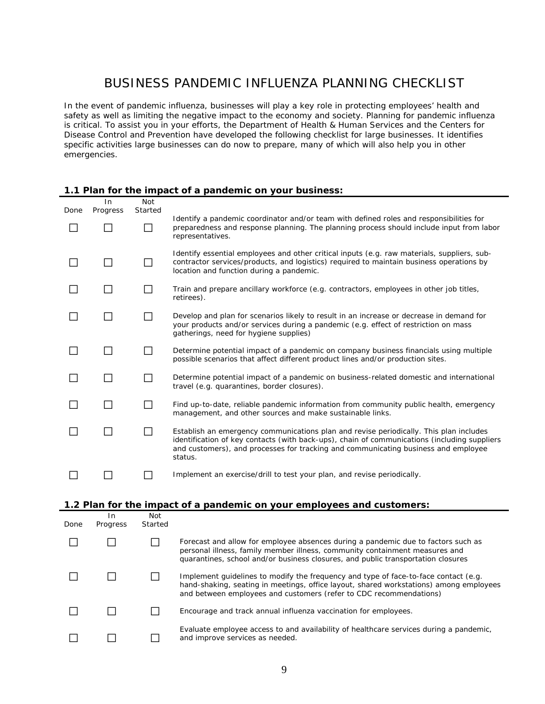# BUSINESS PANDEMIC INFLUENZA PLANNING CHECKLIST

In the event of pandemic influenza, businesses will play a key role in protecting employees' health and safety as well as limiting the negative impact to the economy and society. Planning for pandemic influenza is critical. To assist you in your efforts, the Department of Health & Human Services and the Centers for Disease Control and Prevention have developed the following checklist for large businesses. It identifies specific activities large businesses can do now to prepare, many of which will also help you in other emergencies.

|      | 1.1 Plan for the impact of a pandemic on your business: |                |                                                                                                                                                                                                                                                                                         |  |  |
|------|---------------------------------------------------------|----------------|-----------------------------------------------------------------------------------------------------------------------------------------------------------------------------------------------------------------------------------------------------------------------------------------|--|--|
| Done | In<br>Progress                                          | Not<br>Started |                                                                                                                                                                                                                                                                                         |  |  |
|      |                                                         | $\mathsf{L}$   | Identify a pandemic coordinator and/or team with defined roles and responsibilities for<br>preparedness and response planning. The planning process should include input from labor<br>representatives.                                                                                 |  |  |
|      | ×.                                                      | $\Box$         | Identify essential employees and other critical inputs (e.g. raw materials, suppliers, sub-<br>contractor services/products, and logistics) required to maintain business operations by<br>location and function during a pandemic.                                                     |  |  |
|      | $\overline{\phantom{a}}$                                | $\Box$         | Train and prepare ancillary workforce (e.g. contractors, employees in other job titles,<br>retirees).                                                                                                                                                                                   |  |  |
|      | $\Box$                                                  | $\Box$         | Develop and plan for scenarios likely to result in an increase or decrease in demand for<br>your products and/or services during a pandemic (e.g. effect of restriction on mass<br>gatherings, need for hygiene supplies)                                                               |  |  |
|      | $\overline{\phantom{a}}$                                | $\mathsf{L}$   | Determine potential impact of a pandemic on company business financials using multiple<br>possible scenarios that affect different product lines and/or production sites.                                                                                                               |  |  |
|      | ×.                                                      | П              | Determine potential impact of a pandemic on business-related domestic and international<br>travel (e.g. quarantines, border closures).                                                                                                                                                  |  |  |
|      | ┓                                                       | П              | Find up-to-date, reliable pandemic information from community public health, emergency<br>management, and other sources and make sustainable links.                                                                                                                                     |  |  |
|      |                                                         |                | Establish an emergency communications plan and revise periodically. This plan includes<br>identification of key contacts (with back-ups), chain of communications (including suppliers<br>and customers), and processes for tracking and communicating business and employee<br>status. |  |  |
|      |                                                         |                | Implement an exercise/drill to test your plan, and revise periodically.                                                                                                                                                                                                                 |  |  |

j.

#### **1.2 Plan for the impact of a pandemic on your employees and customers:**

| Done | In<br>Progress | Not<br>Started |                                                                                                                                                                                                                                                      |
|------|----------------|----------------|------------------------------------------------------------------------------------------------------------------------------------------------------------------------------------------------------------------------------------------------------|
|      |                |                | Forecast and allow for employee absences during a pandemic due to factors such as<br>personal illness, family member illness, community containment measures and<br>guarantines, school and/or business closures, and public transportation closures |
|      |                |                | Implement quidelines to modify the frequency and type of face-to-face contact (e.g.<br>hand-shaking, seating in meetings, office layout, shared workstations) among employees<br>and between employees and customers (refer to CDC recommendations)  |
|      |                |                | Encourage and track annual influenza vaccination for employees.                                                                                                                                                                                      |
|      |                |                | Evaluate employee access to and availability of healthcare services during a pandemic,<br>and improve services as needed.                                                                                                                            |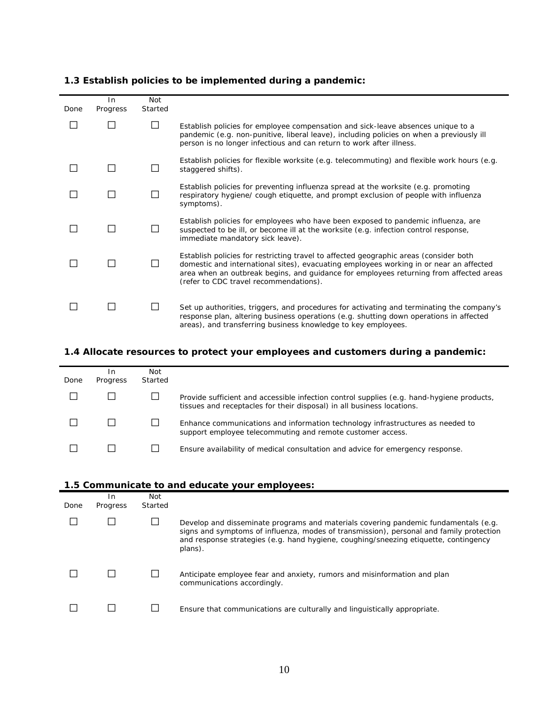# **1.3 Establish policies to be implemented during a pandemic:**

| Done | In.<br>Progress | Not<br>Started |                                                                                                                                                                                                                                                                                                                     |
|------|-----------------|----------------|---------------------------------------------------------------------------------------------------------------------------------------------------------------------------------------------------------------------------------------------------------------------------------------------------------------------|
|      |                 |                | Establish policies for employee compensation and sick-leave absences unique to a<br>pandemic (e.g. non-punitive, liberal leave), including policies on when a previously ill<br>person is no longer infectious and can return to work after illness.                                                                |
|      |                 |                | Establish policies for flexible worksite (e.g. telecommuting) and flexible work hours (e.g.<br>staggered shifts).                                                                                                                                                                                                   |
|      |                 |                | Establish policies for preventing influenza spread at the worksite (e.g. promoting<br>respiratory hygiene/ cough etiquette, and prompt exclusion of people with influenza<br>symptoms).                                                                                                                             |
|      |                 |                | Establish policies for employees who have been exposed to pandemic influenza, are<br>suspected to be ill, or become ill at the worksite (e.g. infection control response,<br>immediate mandatory sick leave).                                                                                                       |
|      |                 |                | Establish policies for restricting travel to affected geographic areas (consider both<br>domestic and international sites), evacuating employees working in or near an affected<br>area when an outbreak begins, and guidance for employees returning from affected areas<br>(refer to CDC travel recommendations). |
|      |                 |                | Set up authorities, triggers, and procedures for activating and terminating the company's<br>response plan, altering business operations (e.g. shutting down operations in affected<br>areas), and transferring business knowledge to key employees.                                                                |

#### **1.4 Allocate resources to protect your employees and customers during a pandemic:**

| Done | In<br>Progress | Not<br>Started |                                                                                                                                                                     |
|------|----------------|----------------|---------------------------------------------------------------------------------------------------------------------------------------------------------------------|
|      |                |                | Provide sufficient and accessible infection control supplies (e.g. hand-hygiene products,<br>tissues and receptacles for their disposal) in all business locations. |
|      |                |                | Enhance communications and information technology infrastructures as needed to<br>support employee telecommuting and remote customer access.                        |
|      |                |                | Ensure availability of medical consultation and advice for emergency response.                                                                                      |

# **1.5 Communicate to and educate your employees:**

| Done | In.<br>Progress | Not<br>Started |                                                                                                                                                                                                                                                                                   |
|------|-----------------|----------------|-----------------------------------------------------------------------------------------------------------------------------------------------------------------------------------------------------------------------------------------------------------------------------------|
|      |                 |                | Develop and disseminate programs and materials covering pandemic fundamentals (e.g.<br>signs and symptoms of influenza, modes of transmission), personal and family protection<br>and response strategies (e.g. hand hygiene, coughing/sneezing etiquette, contingency<br>plans). |
|      |                 |                | Anticipate employee fear and anxiety, rumors and misinformation and plan<br>communications accordingly.                                                                                                                                                                           |
|      |                 |                | Ensure that communications are culturally and linguistically appropriate.                                                                                                                                                                                                         |